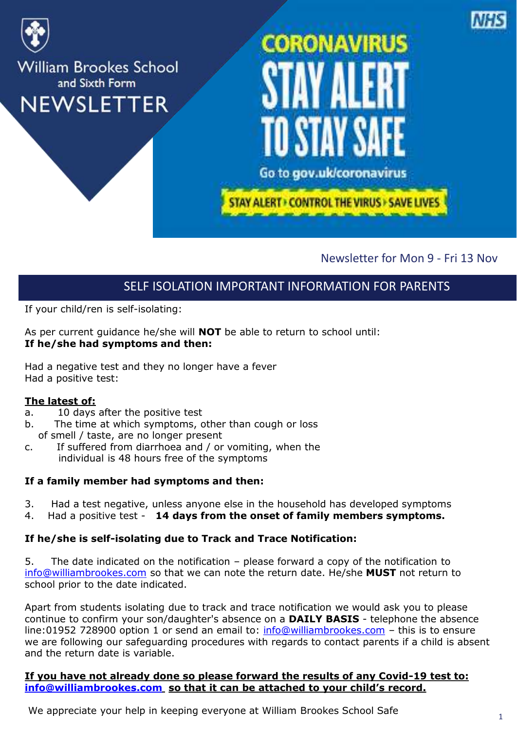

#### Newsletter for Mon 9 - Fri 13 Nov

#### SELF ISOLATION IMPORTANT INFORMATION FOR PARENTS

If your child/ren is self-isolating:

As per current guidance he/she will **NOT** be able to return to school until: **If he/she had symptoms and then:**

Had a negative test and they no longer have a fever Had a positive test:

#### **The latest of:**

- a. 10 days after the positive test
- b. The time at which symptoms, other than cough or loss of smell / taste, are no longer present
- c. If suffered from diarrhoea and / or vomiting, when the individual is 48 hours free of the symptoms

#### **If a family member had symptoms and then:**

- 3. Had a test negative, unless anyone else in the household has developed symptoms
- 4. Had a positive test **14 days from the onset of family members symptoms.**

#### **If he/she is self-isolating due to Track and Trace Notification:**

5. The date indicated on the notification – please forward a copy of the notification to [info@williambrookes.com](mailto:info@williambrookes.com) so that we can note the return date. He/she **MUST** not return to school prior to the date indicated.

Apart from students isolating due to track and trace notification we would ask you to please continue to confirm your son/daughter's absence on a **DAILY BASIS** - telephone the absence line:01952 728900 option 1 or send an email to: [info@williambrookes.com](mailto:info@williambrookes.com) - this is to ensure we are following our safeguarding procedures with regards to contact parents if a child is absent and the return date is variable.

#### **If you have not already done so please forward the results of any Covid-19 test to: [info@williambrookes.com](mailto:info@williambrookes.com) so that it can be attached to your child's record.**

We appreciate your help in keeping everyone at William Brookes School Safe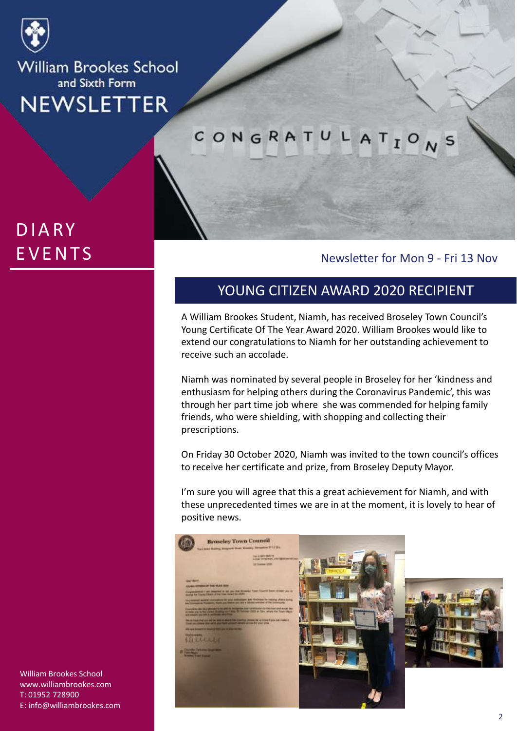

## **DIARY EVENTS**

CONGRATULATION  $\mathsf{s}$ 

#### Newsletter for Mon 9 - Fri 13 Nov

#### YOUNG CITIZEN AWARD 2020 RECIPIENT

A William Brookes Student, Niamh, has received Broseley Town Council's Young Certificate Of The Year Award 2020. William Brookes would like to extend our congratulations to Niamh for her outstanding achievement to receive such an accolade.

Niamh was nominated by several people in Broseley for her 'kindness and enthusiasm for helping others during the Coronavirus Pandemic', this was through her part time job where she was commended for helping family friends, who were shielding, with shopping and collecting their prescriptions.

On Friday 30 October 2020, Niamh was invited to the town council's offices to receive her certificate and prize, from Broseley Deputy Mayor.

I'm sure you will agree that this a great achievement for Niamh, and with these unprecedented times we are in at the moment, it is lovely to hear of positive news.

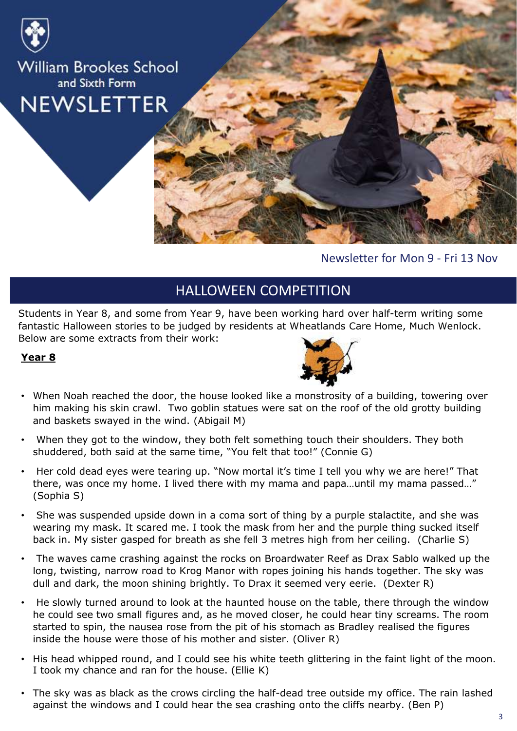

Newsletter for Mon 9 - Fri 13 Nov

#### HALLOWEEN COMPETITION

Students in Year 8, and some from Year 9, have been working hard over half-term writing some fantastic Halloween stories to be judged by residents at Wheatlands Care Home, Much Wenlock. Below are some extracts from their work:

#### **Year 8**



- When Noah reached the door, the house looked like a monstrosity of a building, towering over him making his skin crawl. Two goblin statues were sat on the roof of the old grotty building and baskets swayed in the wind. (Abigail M)
- When they got to the window, they both felt something touch their shoulders. They both shuddered, both said at the same time, "You felt that too!" (Connie G)
- Her cold dead eyes were tearing up. "Now mortal it's time I tell you why we are here!" That there, was once my home. I lived there with my mama and papa…until my mama passed…" (Sophia S)
- She was suspended upside down in a coma sort of thing by a purple stalactite, and she was wearing my mask. It scared me. I took the mask from her and the purple thing sucked itself back in. My sister gasped for breath as she fell 3 metres high from her ceiling. (Charlie S)
- The waves came crashing against the rocks on Broardwater Reef as Drax Sablo walked up the long, twisting, narrow road to Krog Manor with ropes joining his hands together. The sky was dull and dark, the moon shining brightly. To Drax it seemed very eerie. (Dexter R)
- He slowly turned around to look at the haunted house on the table, there through the window he could see two small figures and, as he moved closer, he could hear tiny screams. The room started to spin, the nausea rose from the pit of his stomach as Bradley realised the figures inside the house were those of his mother and sister. (Oliver R)
- His head whipped round, and I could see his white teeth glittering in the faint light of the moon. I took my chance and ran for the house. (Ellie K)
- The sky was as black as the crows circling the half-dead tree outside my office. The rain lashed against the windows and I could hear the sea crashing onto the cliffs nearby. (Ben P)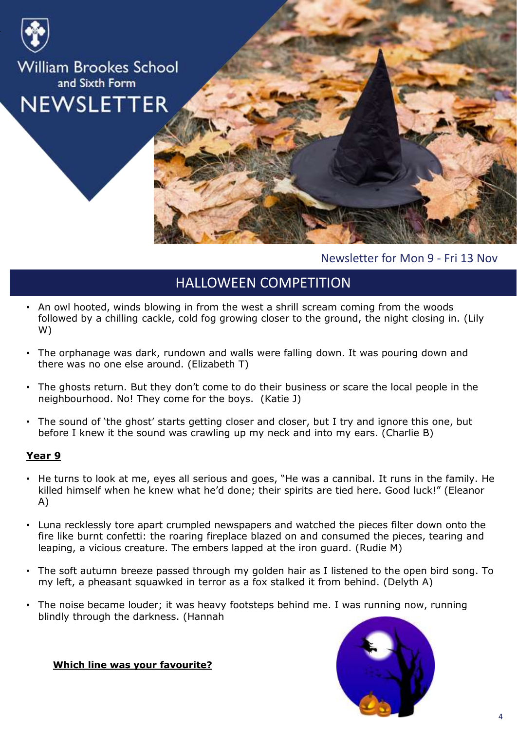

Newsletter for Mon 9 - Fri 13 Nov

#### HALLOWEEN COMPETITION

- An owl hooted, winds blowing in from the west a shrill scream coming from the woods followed by a chilling cackle, cold fog growing closer to the ground, the night closing in. (Lily W)
- The orphanage was dark, rundown and walls were falling down. It was pouring down and there was no one else around. (Elizabeth T)
- The ghosts return. But they don't come to do their business or scare the local people in the neighbourhood. No! They come for the boys. (Katie J)
- The sound of 'the ghost' starts getting closer and closer, but I try and ignore this one, but before I knew it the sound was crawling up my neck and into my ears. (Charlie B)

#### **Year 9**

- He turns to look at me, eyes all serious and goes, "He was a cannibal. It runs in the family. He killed himself when he knew what he'd done; their spirits are tied here. Good luck!" (Eleanor A)
- Luna recklessly tore apart crumpled newspapers and watched the pieces filter down onto the fire like burnt confetti: the roaring fireplace blazed on and consumed the pieces, tearing and leaping, a vicious creature. The embers lapped at the iron guard. (Rudie M)
- The soft autumn breeze passed through my golden hair as I listened to the open bird song. To my left, a pheasant squawked in terror as a fox stalked it from behind. (Delyth A)
- The noise became louder; it was heavy footsteps behind me. I was running now, running blindly through the darkness. (Hannah

**Which line was your favourite?**

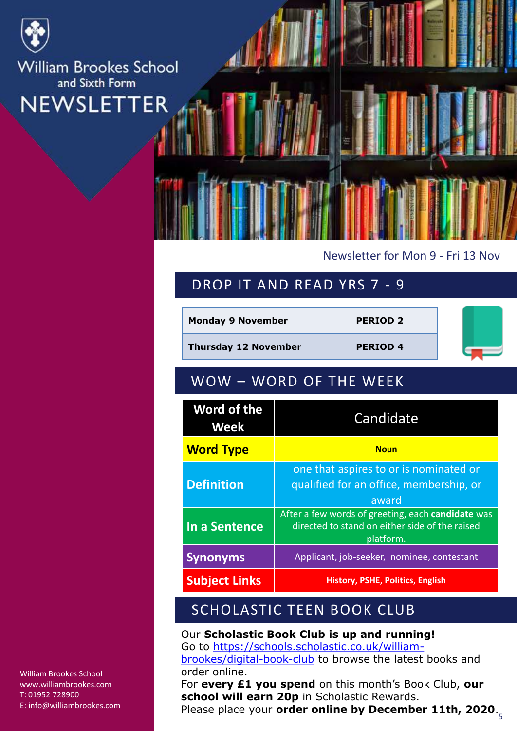

#### Newsletter for Mon 9 - Fri 13 Nov

#### DROP IT AND READ YRS 7 - 9

| <b>Monday 9 November</b>    | <b>PERIOD 2</b> |  |
|-----------------------------|-----------------|--|
| <b>Thursday 12 November</b> | <b>PERIOD 4</b> |  |

#### WOW – WORD OF THE WEEK

| Word of the<br>Week  | Candidate                                                                                                        |  |
|----------------------|------------------------------------------------------------------------------------------------------------------|--|
| <b>Word Type</b>     | <b>Noun</b>                                                                                                      |  |
| <b>Definition</b>    | one that aspires to or is nominated or<br>qualified for an office, membership, or<br>award                       |  |
| In a Sentence        | After a few words of greeting, each candidate was<br>directed to stand on either side of the raised<br>platform. |  |
| <b>Synonyms</b>      | Applicant, job-seeker, nominee, contestant                                                                       |  |
| <b>Subject Links</b> | History, PSHE, Politics, English                                                                                 |  |

#### SCHOLASTIC TEEN BOOK CLUB

Our **Scholastic Book Club is up and running!** Go to [https://schools.scholastic.co.uk/william](https://schools.scholastic.co.uk/william-brookes/digital-book-club)brookes/digital-book-club to browse the latest books and order online.

5 Please place your **order online by December 11th, 2020**.For **every £1 you spend** on this month's Book Club, **our school will earn 20p** in Scholastic Rewards.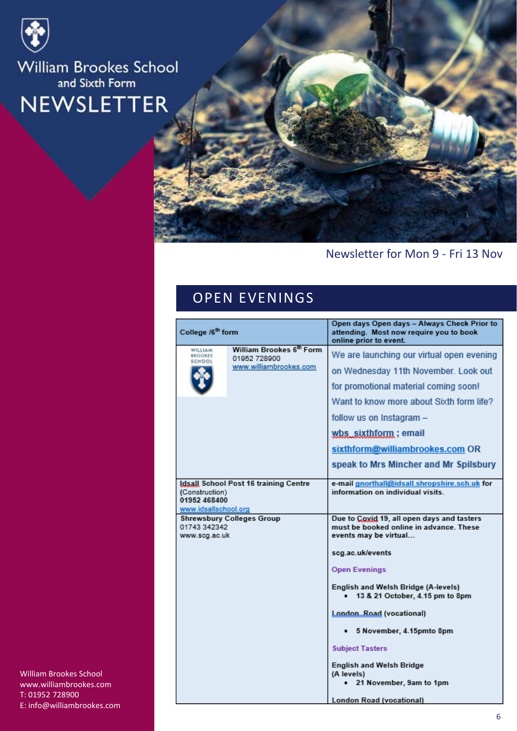



#### Newsletter for Mon 9 - Fri 13 Nov

#### OPEN EVENINGS

| Open days Open days - Always Check Prior to                       |                                                                    |                                                                                                                                                                                                                                                                                                        |
|-------------------------------------------------------------------|--------------------------------------------------------------------|--------------------------------------------------------------------------------------------------------------------------------------------------------------------------------------------------------------------------------------------------------------------------------------------------------|
| College /6 <sup>th</sup> form                                     |                                                                    | attending. Most now require you to book<br>online prior to event.                                                                                                                                                                                                                                      |
| WILLIAM<br><b>BROOKES</b><br>SCHOOL                               | William Brookes 6th Form<br>01952 728900<br>www.williambrookes.com | We are launching our virtual open evening<br>on Wednesday 11th November. Look out<br>for promotional material coming soon!<br>Want to know more about Sixth form life?<br>follow us on Instagram -<br>wbs_sixthform; email<br>sixthform@williambrookes.com OR<br>speak to Mrs Mincher and Mr Spilsbury |
| (Construction)<br>01952 468400<br>www.idsallschool.org            | Idsall School Post 16 training Centre                              | e-mail gnorthall@idsall.shropshire.sch.uk for<br>information on individual visits.                                                                                                                                                                                                                     |
| <b>Shrewsbury Colleges Group</b><br>01743 342342<br>www.scg.ac.uk |                                                                    | Due to Coxid 19, all open days and tasters<br>must be booked online in advance. These<br>events may be virtual<br>scg.ac.uk/events                                                                                                                                                                     |
|                                                                   |                                                                    | <b>Open Evenings</b>                                                                                                                                                                                                                                                                                   |
|                                                                   |                                                                    | English and Welsh Bridge (A-levels)<br>13 & 21 October, 4.15 pm to 8pm                                                                                                                                                                                                                                 |
|                                                                   |                                                                    | London Road (vocational)                                                                                                                                                                                                                                                                               |
|                                                                   |                                                                    | 5 November, 4.15pmto 8pm                                                                                                                                                                                                                                                                               |
|                                                                   |                                                                    | <b>Subject Tasters</b>                                                                                                                                                                                                                                                                                 |
|                                                                   |                                                                    | <b>English and Welsh Bridge</b><br>(A levels)<br>21 November, 9am to 1pm                                                                                                                                                                                                                               |
|                                                                   |                                                                    | London Road (vocational)                                                                                                                                                                                                                                                                               |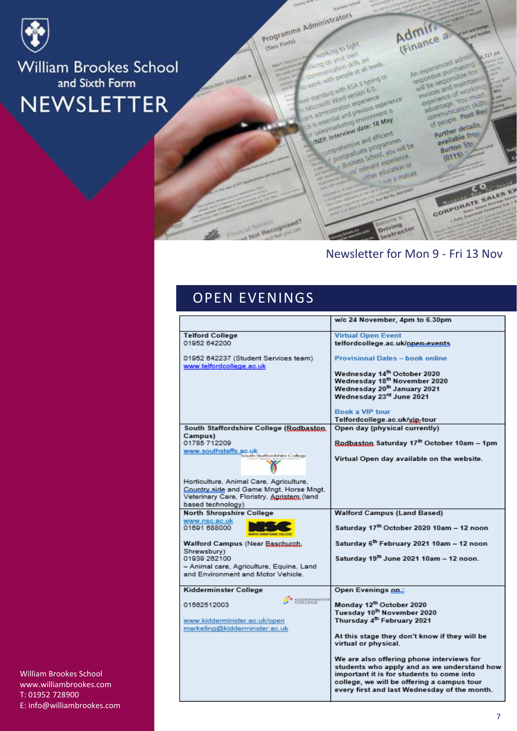

Programme Administrators

(Cheon Gwy)

COLLEGE

Admin<br>(Finance a

Mol of pride on your cam anication skills are with people at all levels **bo pridy as A Reing or** 

crowls Word version 6.0. aministration experience exectal and previous experience. saistrateting environment is NEP. Interview date: 18 May

preceivenave and efficient Companate programmes Sixteen School, you will be of televisit experience.

offier education or we a mature

**CORPORATE SALES EX** 

A Second

An experienced adm

regonere purchasing will be responsible for

invoices and maintain

experience of work a advantage. You must

communication skills

of people, post Re-

Further details

available from

**Burton Str.** 

 $(0115)$ 

 $121$   $p<sup>2</sup>$ 

#### Newsletter for Mon 9 - Fri 13 Nov

**Oriving**<br>Instructor

#### **OPEN EVENINGS**

t Not Recognised?

|                                                                  | w/c 24 November, 4pm to 6.30pm                                                             |
|------------------------------------------------------------------|--------------------------------------------------------------------------------------------|
|                                                                  |                                                                                            |
| <b>Telford College</b><br>01952 642200                           | <b>Virtual Open Event</b>                                                                  |
|                                                                  | telfordcollege.ac.uk/open-events                                                           |
| 01952 642237 (Student Services team)<br>www.telfordcollege.ac.uk | <b>Provisional Dates - book online</b>                                                     |
|                                                                  | Wednesday 14th October 2020                                                                |
|                                                                  | Wednesday 18th November 2020                                                               |
|                                                                  | Wednesday 20 <sup>th</sup> January 2021                                                    |
|                                                                  | Wednesday 23rd June 2021                                                                   |
|                                                                  | <b>Book a VIP tour</b>                                                                     |
|                                                                  | Telfordcollege.ac.uk/xin-tour                                                              |
| South Staffordshire College (Rodbaston,                          | Open day (physical currently)                                                              |
| Campus)                                                          |                                                                                            |
| 01785 712209<br>www.southstaffs.ac.uk                            | Rodbaston Saturday 17th October 10am - 1pm                                                 |
| South Staffordshire College                                      | Virtual Open day available on the website.                                                 |
| Horticulture, Animal Care, Agriculture,                          |                                                                                            |
| Country side and Game Mngt, Horse Mngt,                          |                                                                                            |
| Veterinary Care, Floristry, Agristem (land                       |                                                                                            |
| based technology)                                                |                                                                                            |
| North Shropshire College                                         | <b>Walford Campus (Land Based)</b>                                                         |
| www.nsc.ac.uk                                                    |                                                                                            |
| 01691 688000<br><b>WITH SHIPBIPSHIRE COLLEGE</b>                 | Saturday 17th October 2020 10am - 12 noon                                                  |
| Walford Campus (Near Baschurch,                                  | Saturday 6th February 2021 10am - 12 noon                                                  |
| Shrewsbury)<br>01939 262100                                      | Saturday 19th June 2021 10am - 12 noon.                                                    |
| - Animal care, Agriculture, Equine, Land                         |                                                                                            |
| and Environment and Motor Vehicle.                               |                                                                                            |
|                                                                  |                                                                                            |
| Kidderminster College                                            | Open Evenings on:                                                                          |
| COLLEGE                                                          |                                                                                            |
| 01562512003                                                      | Monday 12th October 2020<br>Tuesday 10 <sup>th</sup> November 2020                         |
| www.kidderminster.ac.uk/open                                     | Thursday 4 <sup>th</sup> February 2021                                                     |
| marketing@kidderminster.ac.uk                                    |                                                                                            |
|                                                                  | At this stage they don't know if they will be                                              |
|                                                                  | virtual or physical.                                                                       |
|                                                                  |                                                                                            |
|                                                                  | We are also offering phone interviews for                                                  |
|                                                                  | students who apply and as we understand how                                                |
|                                                                  | important it is for students to come into                                                  |
|                                                                  | college, we will be offering a campus tour<br>every first and last Wednesday of the month. |
|                                                                  |                                                                                            |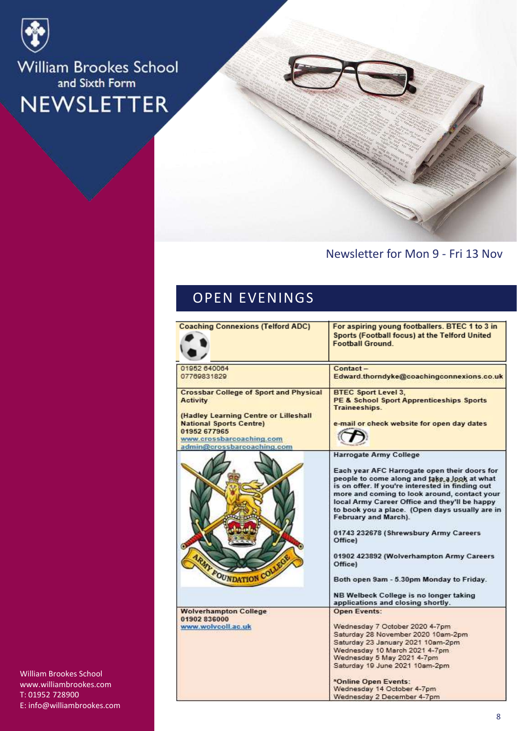

#### Newsletter for Mon 9 - Fri 13 Nov

#### OPEN EVENINGS

| <b>Coaching Connexions (Telford ADC)</b>                                                                                                          | For aspiring young footballers. BTEC 1 to 3 in<br>Sports (Football focus) at the Telford United<br><b>Football Ground.</b>                                                                                                                                                                                                  |
|---------------------------------------------------------------------------------------------------------------------------------------------------|-----------------------------------------------------------------------------------------------------------------------------------------------------------------------------------------------------------------------------------------------------------------------------------------------------------------------------|
| 01952 640064                                                                                                                                      | Contact-                                                                                                                                                                                                                                                                                                                    |
| 07769831829                                                                                                                                       | Edward.thorndyke@coachingconnexions.co.uk                                                                                                                                                                                                                                                                                   |
| <b>Crossbar College of Sport and Physical</b><br><b>Activity</b>                                                                                  | <b>BTEC Sport Level 3.</b><br><b>PE &amp; School Sport Apprenticeships Sports</b><br>Traineeships.                                                                                                                                                                                                                          |
| (Hadley Learning Centre or Lilleshall<br><b>National Sports Centre)</b><br>01952 677965<br>www.crossbarcoaching.com<br>admin@crossbarcoaching.com | e-mail or check website for open day dates                                                                                                                                                                                                                                                                                  |
|                                                                                                                                                   | Harrogate Army College                                                                                                                                                                                                                                                                                                      |
|                                                                                                                                                   | Each year AFC Harrogate open their doors for<br>people to come along and take a look at what<br>is on offer. If you're interested in finding out<br>more and coming to look around, contact your<br>local Army Career Office and they'll be happy<br>to book you a place. (Open days usually are in<br>February and March). |
|                                                                                                                                                   | 01743 232678 (Shrewsbury Army Careers<br>Office)                                                                                                                                                                                                                                                                            |
| <b>ARMY FOUNDATION COLLE</b>                                                                                                                      | 01902 423892 (Wolverhampton Army Careers<br>Office)                                                                                                                                                                                                                                                                         |
|                                                                                                                                                   | Both open 9am - 5.30pm Monday to Friday.                                                                                                                                                                                                                                                                                    |
|                                                                                                                                                   | NB Welbeck College is no longer taking<br>applications and closing shortly.                                                                                                                                                                                                                                                 |
| <b>Wolverhampton College</b>                                                                                                                      | <b>Open Events:</b>                                                                                                                                                                                                                                                                                                         |
| 01902 836000                                                                                                                                      |                                                                                                                                                                                                                                                                                                                             |
| www.wolvcoll.ac.uk                                                                                                                                | Wednesday 7 October 2020 4-7pm                                                                                                                                                                                                                                                                                              |
|                                                                                                                                                   | Saturday 28 November 2020 10am-2pm                                                                                                                                                                                                                                                                                          |
|                                                                                                                                                   | Saturday 23 January 2021 10am-2pm                                                                                                                                                                                                                                                                                           |
|                                                                                                                                                   | Wednesday 10 March 2021 4-7pm<br>Wednesday 5 May 2021 4-7pm                                                                                                                                                                                                                                                                 |
|                                                                                                                                                   | Saturday 19 June 2021 10am-2pm.                                                                                                                                                                                                                                                                                             |
|                                                                                                                                                   | *Online Open Events:                                                                                                                                                                                                                                                                                                        |
|                                                                                                                                                   | Wednesday 14 October 4-7pm                                                                                                                                                                                                                                                                                                  |
|                                                                                                                                                   | Wednesday 2 December 4-7pm                                                                                                                                                                                                                                                                                                  |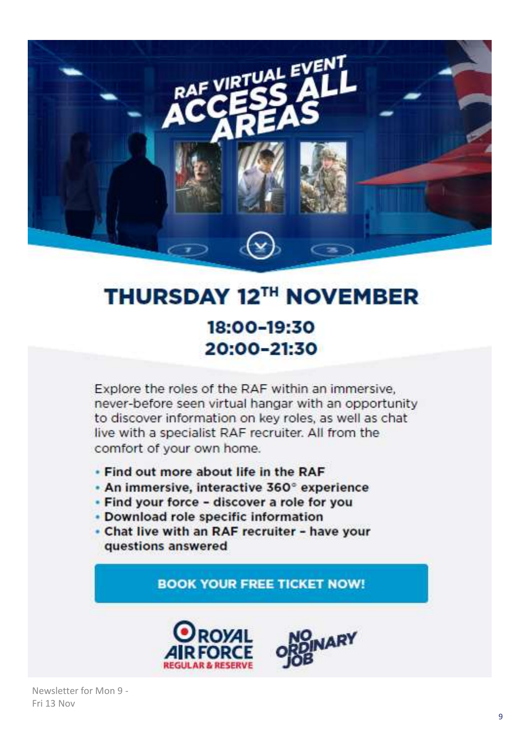

## **THURSDAY 12TH NOVEMBER** 18:00-19:30 20:00-21:30

Explore the roles of the RAF within an immersive, never-before seen virtual hangar with an opportunity to discover information on key roles, as well as chat live with a specialist RAF recruiter. All from the comfort of your own home.

- . Find out more about life in the RAF
- An immersive, interactive 360° experience
- . Find your force discover a role for you
- Download role specific information
- . Chat live with an RAF recruiter have your questions answered

**BOOK YOUR FREE TICKET NOW!** 

ARY



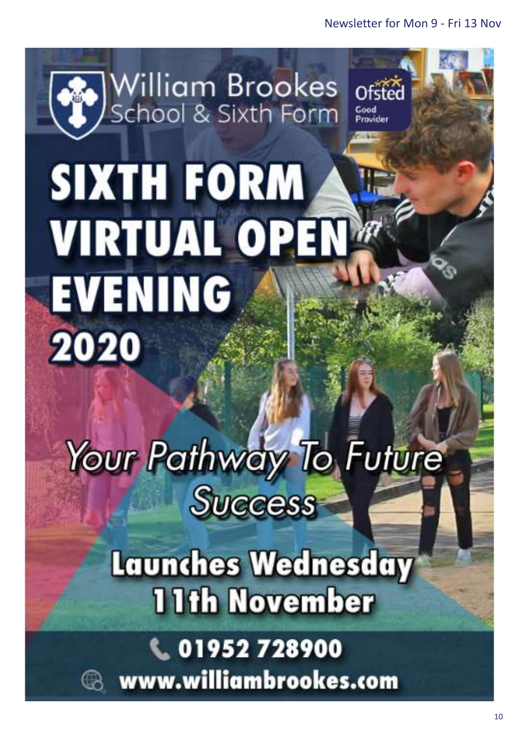

# **SIXTH FORM VIRTUAL OPEN EVENING** 2020

# Your Pathway To Future **Success**

**Launches Wednesday 11th November** 

C. 01952 728900 www.williambrookes.com

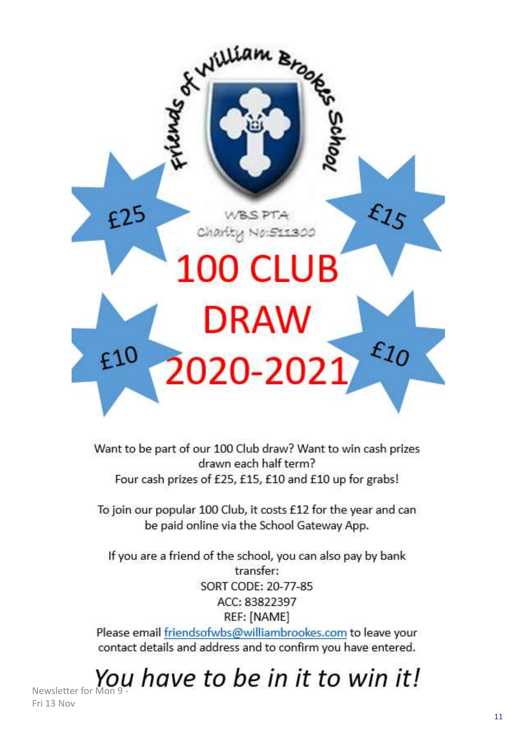

Want to be part of our 100 Club draw? Want to win cash prizes drawn each half term? Four cash prizes of £25, £15, £10 and £10 up for grabs!

To join our popular 100 Club, it costs £12 for the year and can be paid online via the School Gateway App.

If you are a friend of the school, you can also pay by bank transfer: SORT CODE: 20-77-85 ACC: 83822397 REF: [NAME]

Please email friendsofwbs@williambrookes.com to leave your contact details and address and to confirm you have entered.

Newsletter for Mon 9 -

Fri 13 Nov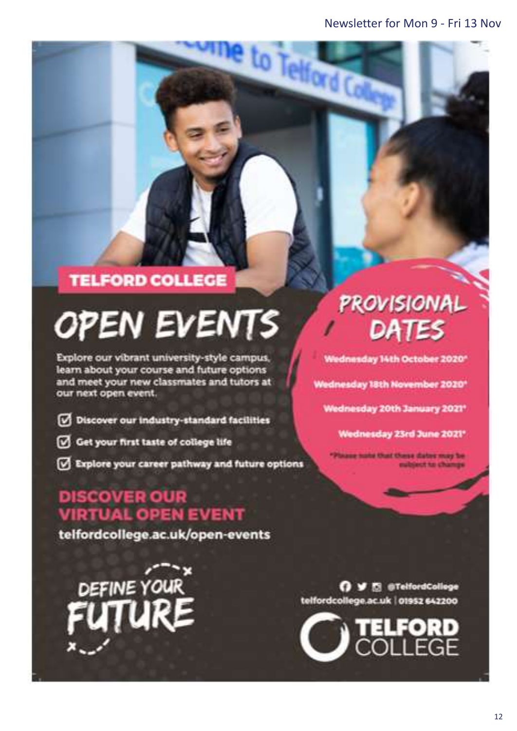to Telford C

#### **TELFORD COLLEGE**

# **OPEN EVENTS**

Explore our vibrant university-style campus, learn about your course and future options and meet your new classmates and tutors at our next open event.

- Discover our industry-standard facilities
- Get your first taste of college life
- Explore your career pathway and future options

#### **DISCOVER OUR VIRTUAL OPEN EVENT**

telfordcollege.ac.uk/open-events

DEFINE YOUR

## **PROVISIONAL** DATES

Wednesday 14th October 2020\*

Wednesday 18th November 2020\*

Wednesday 20th January 2021\*

Wednesday 23rd June 2021\*

aug nate that these dates may be ubject to change

O V El @TelfordCollege telfordcollege.ac.uk | 01952 642200

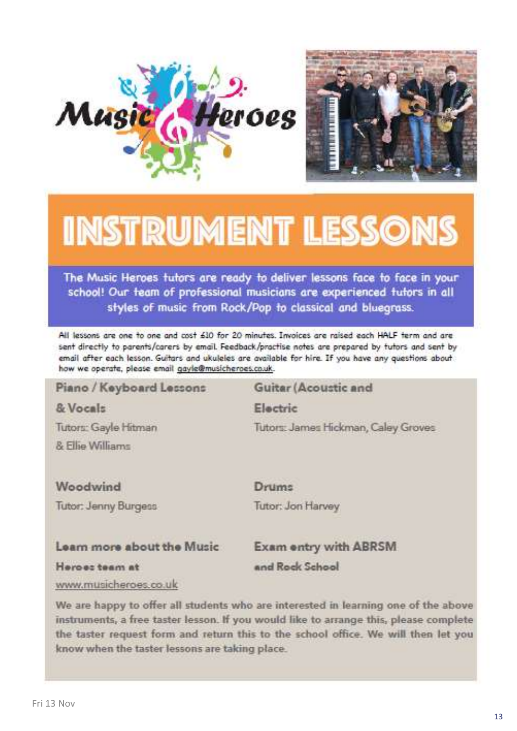



## **INSTRUMENT LESSONS**

The Music Heroes tutors are ready to deliver lessons face to face in your school! Our team of professional musicians are experienced tutors in all styles of music from Rock/Pop to classical and bluegrass.

All lessons are one to one and cost 610 for 20 minutes. Invoices are raised each HALF term and are sent directly to parents/carers by email. Feedback/practise notes are prepared by tutors and sent by email after each lesson. Guitars and ukuleles are available for hire. If you have any questions about how we operate, please email gayle@musicheroes.co.uk.

#### Piano / Keyboard Lessons Guitar (Acoustic and & Vocals Electric Tutors: Gayle Hitman Tutors: James Hickman, Caley Groves & Filip Williams Woodwind Drums

Tutor: Jenny Burgess

Tutor: Jon Harvey

#### Learn more about the Music

**Exam entry with ABRSM** 

Heroes team at

and Rock School

www.musicheroes.co.uk

We are happy to offer all students who are interested in learning one of the above instruments, a free taster lesson. If you would like to arrange this, please complete the taster request form and return this to the school office. We will then let you know when the taster lessons are taking place.